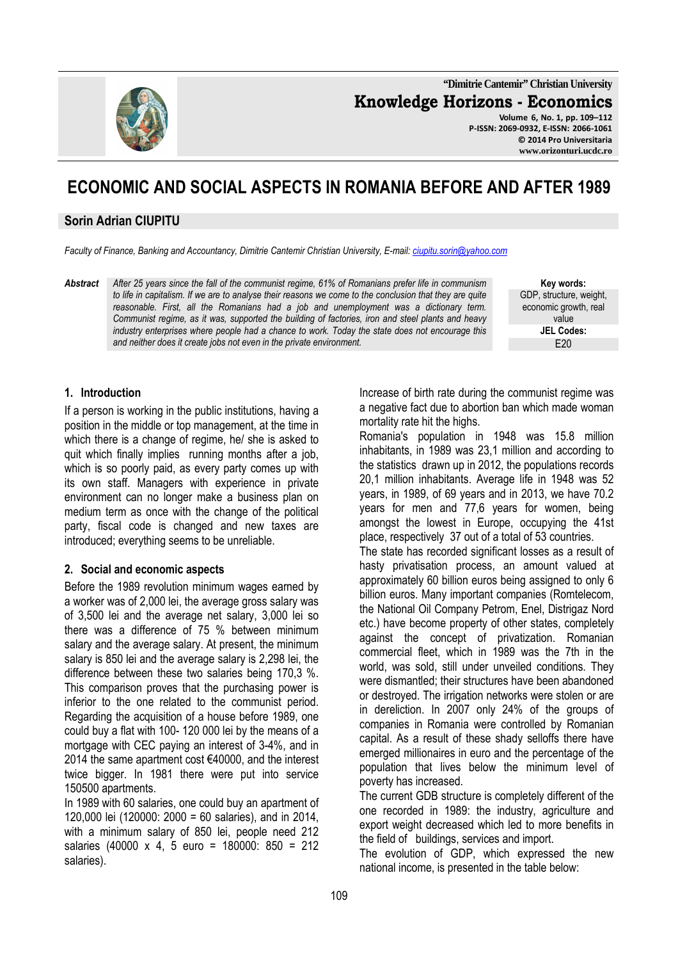**"Dimitrie Cantemir" Christian University Knowledge Horizons - Economics Volume 6, No. 1, pp. 109–112** 

**P-ISSN: 2069-0932, E-ISSN: 2066-1061 © 2014 Pro Universitaria www.orizonturi.ucdc.ro** 

# **ECONOMIC AND SOCIAL ASPECTS IN ROMANIA BEFORE AND AFTER 1989**

## **Sorin Adrian CIUPITU**

*Faculty of Finance, Banking and Accountancy, Dimitrie Cantemir Christian University, E-mail: ciupitu.sorin@yahoo.com*

*Abstract After 25 years since the fall of the communist regime, 61% of Romanians prefer life in communism to life in capitalism. If we are to analyse their reasons we come to the conclusion that they are quite reasonable. First, all the Romanians had a job and unemployment was a dictionary term. Communist regime, as it was, supported the building of factories, iron and steel plants and heavy industry enterprises where people had a chance to work. Today the state does not encourage this and neither does it create jobs not even in the private environment.* 

**Key words:** GDP, structure, weight, economic growth, real value **JEL Codes:**  $F20$ 

#### **1. Introduction**

If a person is working in the public institutions, having a position in the middle or top management, at the time in which there is a change of regime, he/ she is asked to quit which finally implies running months after a job, which is so poorly paid, as every party comes up with its own staff. Managers with experience in private environment can no longer make a business plan on medium term as once with the change of the political party, fiscal code is changed and new taxes are introduced; everything seems to be unreliable.

### **2. Social and economic aspects**

Before the 1989 revolution minimum wages earned by a worker was of 2,000 lei, the average gross salary was of 3,500 lei and the average net salary, 3,000 lei so there was a difference of 75 % between minimum salary and the average salary. At present, the minimum salary is 850 lei and the average salary is 2,298 lei, the difference between these two salaries being 170,3 %. This comparison proves that the purchasing power is inferior to the one related to the communist period. Regarding the acquisition of a house before 1989, one could buy a flat with 100- 120 000 lei by the means of a mortgage with CEC paying an interest of 3-4%, and in 2014 the same apartment cost €40000, and the interest twice bigger. In 1981 there were put into service 150500 apartments.

In 1989 with 60 salaries, one could buy an apartment of 120,000 lei (120000: 2000 = 60 salaries), and in 2014, with a minimum salary of 850 lei, people need 212 salaries (40000 x 4, 5 euro = 180000: 850 = 212 salaries).

Increase of birth rate during the communist regime was a negative fact due to abortion ban which made woman mortality rate hit the highs.

Romania's population in 1948 was 15.8 million inhabitants, in 1989 was 23,1 million and according to the statistics drawn up in 2012, the populations records 20,1 million inhabitants. Average life in 1948 was 52 years, in 1989, of 69 years and in 2013, we have 70.2 years for men and 77,6 years for women, being amongst the lowest in Europe, occupying the 41st place, respectively 37 out of a total of 53 countries.

The state has recorded significant losses as a result of hasty privatisation process, an amount valued at approximately 60 billion euros being assigned to only 6 billion euros. Many important companies (Romtelecom, the National Oil Company Petrom, Enel, Distrigaz Nord etc.) have become property of other states, completely against the concept of privatization. Romanian commercial fleet, which in 1989 was the 7th in the world, was sold, still under unveiled conditions. They were dismantled; their structures have been abandoned or destroyed. The irrigation networks were stolen or are in dereliction. In 2007 only 24% of the groups of companies in Romania were controlled by Romanian capital. As a result of these shady selloffs there have emerged millionaires in euro and the percentage of the population that lives below the minimum level of poverty has increased.

The current GDB structure is completely different of the one recorded in 1989: the industry, agriculture and export weight decreased which led to more benefits in the field of buildings, services and import.

The evolution of GDP, which expressed the new national income, is presented in the table below: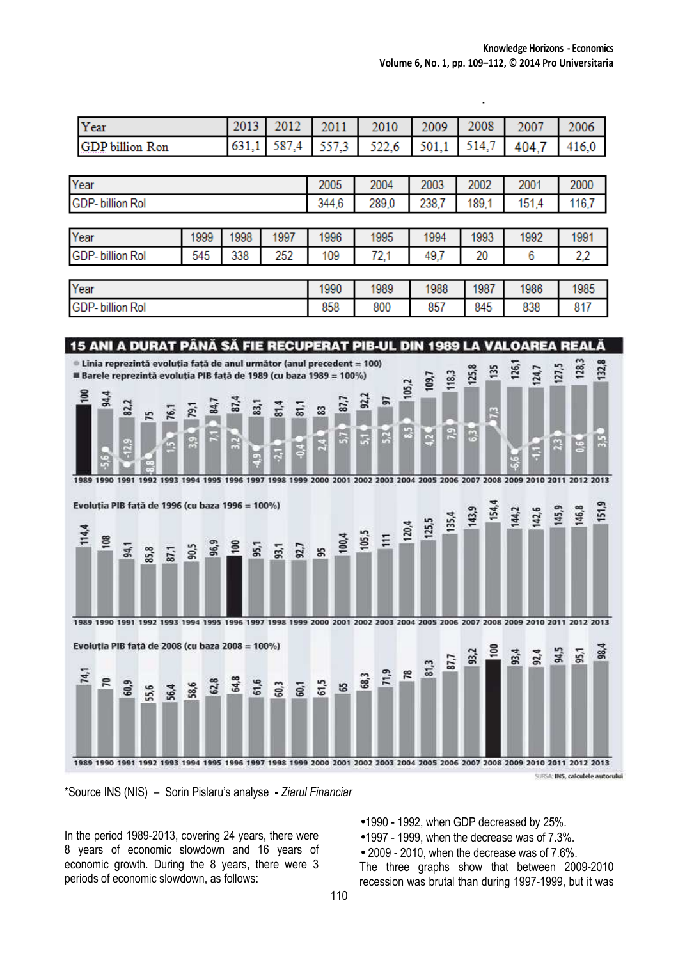| Year                   | 2012 | 2011 | 2010 | 2009 | 2008 | 2007                                                | 2006 |
|------------------------|------|------|------|------|------|-----------------------------------------------------|------|
| <b>GDP</b> billion Ron |      |      |      |      |      | $(631,1)$ 587,4 557,3 522,6 501,1 514,7 404,7 416,0 |      |

| Year                    |      |      |       | 2005  | 2004  | 2003  | 2002  | 2001  | 2000 |
|-------------------------|------|------|-------|-------|-------|-------|-------|-------|------|
| <b>GDP-billion Rol</b>  |      |      | 344,6 | 289,0 | 238,7 | 189.1 | 151,4 | 116,7 |      |
|                         |      |      |       |       |       |       |       |       |      |
| Year                    | 1999 | 1998 | 1997  | 1996  | 1995  | 1994  | 1993  | 1992  | 1991 |
| <b>GDP-</b> billion Rol | 545  | 338  | 252   | 109   | 72,1  | 49,7  | 20    | 6     | 2,2  |
|                         |      |      |       |       |       |       |       |       |      |
| Year                    |      |      |       | 1990  | 1989  | 1988  | 1987  | 1986  | 1985 |

858

800

857

845

838

817





<sup>\*</sup>Source INS (NIS) – Sorin Pislaru's analyse **-** *Ziarul Financiar*

In the period 1989-2013, covering 24 years, there were 8 years of economic slowdown and 16 years of economic growth. During the 8 years, there were 3 periods of economic slowdown, as follows:

**GDP-billion Rol** 

- •1990 1992, when GDP decreased by 25%.
- •1997 1999, when the decrease was of 7.3%.
- 2009 2010, when the decrease was of 7.6%.

The three graphs show that between 2009-2010 recession was brutal than during 1997-1999, but it was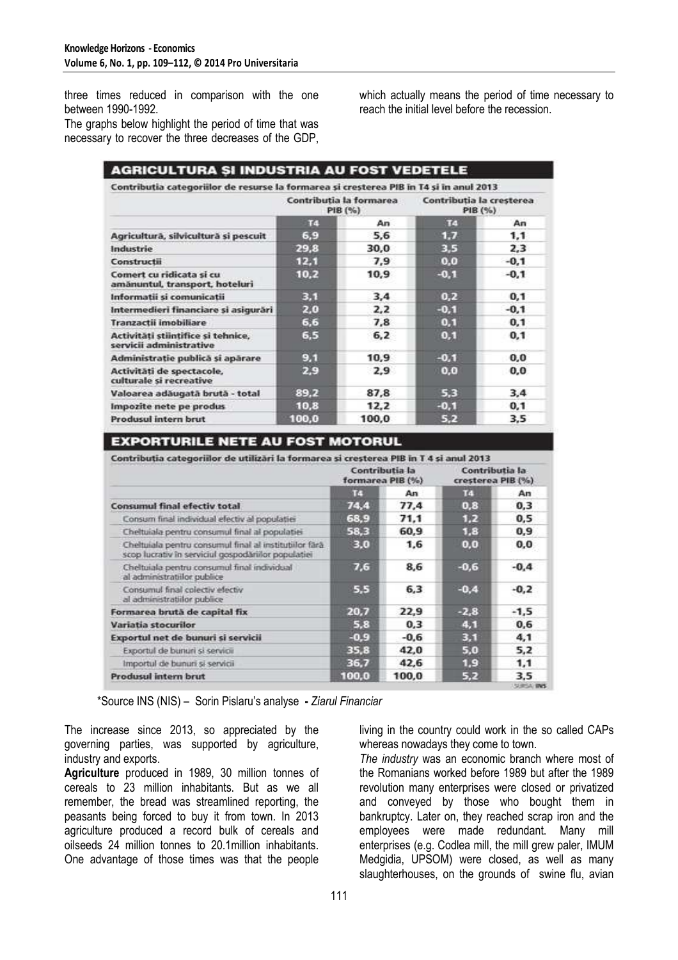three times reduced in comparison with the one between 1990-1992.

The graphs below highlight the period of time that was necessary to recover the three decreases of the GDP, which actually means the period of time necessary to reach the initial level before the recession.

| <b>AGRICULTURA ȘI INDUSTRIA AU FOST VEDETELE</b><br>Contributia categoriilor de resurse la formarea și cresterea PIB în T4 și în anul 2013 |       |                                    |                                     |        |  |
|--------------------------------------------------------------------------------------------------------------------------------------------|-------|------------------------------------|-------------------------------------|--------|--|
|                                                                                                                                            |       | Contributia la formarea<br>PIB (%) | Contributia la cresterea<br>PIB (%) |        |  |
|                                                                                                                                            | FG.   | An                                 | т                                   | An     |  |
| Agricultură, silvicultură și pescuit                                                                                                       | 6,9   | 5,6                                | 1.7                                 | 1,1    |  |
| Industrie                                                                                                                                  | 29,8  | 30.0                               | 3.5                                 | 2.3    |  |
| Constructii                                                                                                                                | 12,1  | 7,9                                | 0.0                                 | $-0.1$ |  |
| Comert cu ridicata și cu<br>amănuntul, transport, hoteluri                                                                                 | 10,2  | 10,9                               | $-0,1$                              | $-0.1$ |  |
| Informatii și comunicatii                                                                                                                  | 3.1   | 3,4                                | 0.2                                 | 0.1    |  |
| Intermedieri financiare și asigurări                                                                                                       | 2,0   | 2,2                                | $-0,1$                              | $-0.1$ |  |
| Tranzactii imobiliare                                                                                                                      | 6,6   | 7,8                                | 0,1                                 | 0,1    |  |
| Activităti stiintifice și tehnice,<br>servicii administrative                                                                              | 6,5   | 6,2                                | 0,1                                 | 0,1    |  |
| Administratie publică și apărare                                                                                                           | 9.1   | 10.9                               | $-0.1$                              | 0,0    |  |
| Activități de spectacole,<br>culturale si recreative                                                                                       | 2,9   | 2.9                                | 0,0                                 | 0.0    |  |
| Valoarea adăugată brută - total                                                                                                            | 89.2  | 87,8                               | 5,3                                 | 3,4    |  |
| Impozite nete pe produs                                                                                                                    | 10,8  | 12,2                               | $-0,1$                              | 0, 1   |  |
| Produsul intern brut                                                                                                                       | 100,0 | 100,0                              | 5,2                                 | 3.5    |  |

## **EXPORTURILE NETE AU FOST MOTORUL**

|                                                                                                               | Contributia la<br>formarea PIB (%) |        | Contributia la<br>cresterea PIB (%) |        |
|---------------------------------------------------------------------------------------------------------------|------------------------------------|--------|-------------------------------------|--------|
|                                                                                                               | T.                                 | An     | 14                                  | An     |
| <b>Consumul final efectiv total</b>                                                                           | 74,4                               | 77,4   | 0.8                                 | 0,3    |
| Consum final individual efectiv al populatiei                                                                 | 68,9                               | 71.1   | 1.2                                 | 0,5    |
| Cheltuiala pentru consumul final al populatiei                                                                | 58,3                               | 60.9   | 1,8                                 | 0.9    |
| Cheltuiala pentru consumul final al institutiilor fară<br>scop lucrativ în serviciul gospodăriilor populației | 3.0                                | 1.6    | 0,0                                 | 0,0    |
| Cheltuiala pentru consumul final individual<br>al administratiilor publice                                    | 7,6                                | 8.6    | $-0.6$                              | $-0.4$ |
| Consumul final colectiv electiv<br>al administratiilor publice                                                | 5,5                                | 6,3    | $-0.4$                              | $-0,2$ |
| Formarea brută de capital fix                                                                                 | 20.7                               | 22.9   | $-2.8$                              | $-1,5$ |
| Variatia stocurilor                                                                                           | 5,8                                | 0.3    | 4.1                                 | 0,6    |
| Exportul net de bunuri și servicii                                                                            | $-0.9$                             | $-0.6$ | 3,1                                 | 4,1    |
| Exportul de bunuri și servicii                                                                                | 35.8                               | 42.0   | 5.0                                 | 5,2    |
| Importul de bunuri și servicii                                                                                | 36.7                               | 42.6   | 1.9                                 | 1,1    |
| Produsul intern brut                                                                                          | 100.0                              | 100,0  | 5.2                                 | 3.5    |

\*Source INS (NIS) – Sorin Pislaru's analyse **-** *Ziarul Financiar*

The increase since 2013, so appreciated by the governing parties, was supported by agriculture, industry and exports.

**Agriculture** produced in 1989, 30 million tonnes of cereals to 23 million inhabitants. But as we all remember, the bread was streamlined reporting, the peasants being forced to buy it from town. In 2013 agriculture produced a record bulk of cereals and oilseeds 24 million tonnes to 20.1million inhabitants. One advantage of those times was that the people

living in the country could work in the so called CAPs whereas nowadays they come to town.

*The industry* was an economic branch where most of the Romanians worked before 1989 but after the 1989 revolution many enterprises were closed or privatized and conveyed by those who bought them in bankruptcy. Later on, they reached scrap iron and the employees were made redundant. Many mill enterprises (e.g. Codlea mill, the mill grew paler, IMUM Medgidia, UPSOM) were closed, as well as many slaughterhouses, on the grounds of swine flu, avian